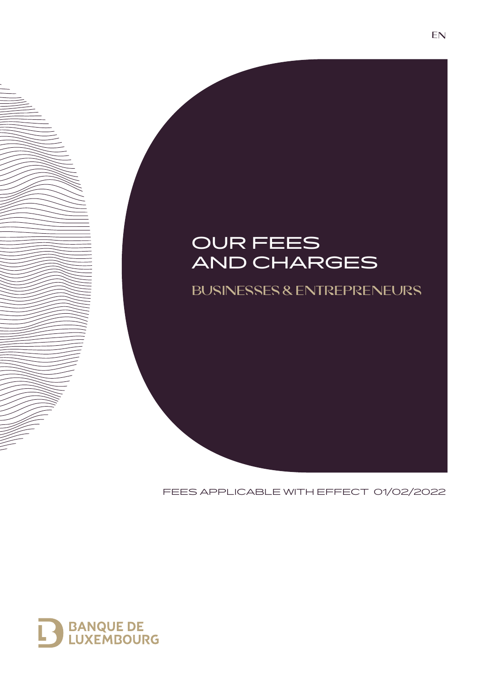# OUR FEES AND CHARGES

**BUSINESSES & ENTREPRENEURS**

FEES APPLICABLE WITH EFFECT 01/02/2022

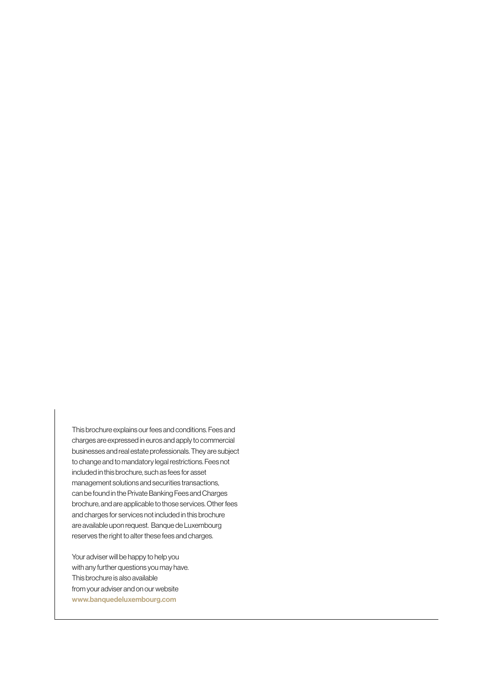This brochure explains our fees and conditions. Fees and charges are expressed in euros and apply to commercial businesses and real estate professionals. They are subject to change and to mandatory legal restrictions. Fees not included in this brochure, such as fees for asset management solutions and securities transactions, can be found in the Private Banking Fees and Charges brochure, and are applicable to those services. Other fees and charges for services not included in this brochure are available upon request. Banque de Luxembourg reserves the right to alter these fees and charges.

Your adviser will be happy to help you with any further questions you may have. This brochure is also available from your adviser and on our website www.banquedeluxembourg.com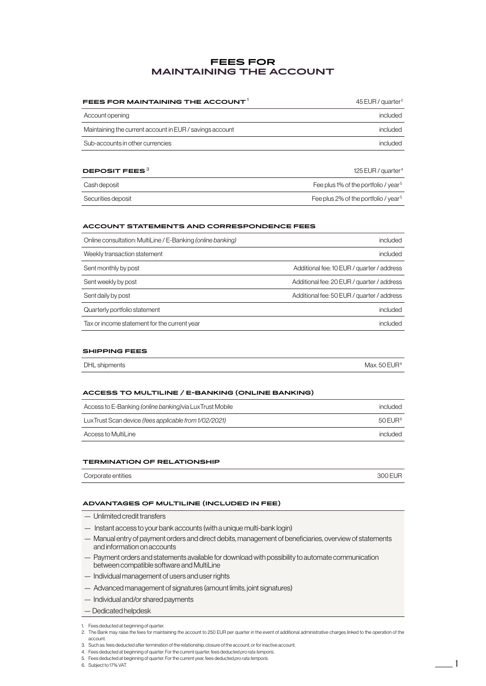## **FEES FOR MAINTAINING THE ACCOUNT**

| FEES FOR MAINTAINING THE ACCOUNT $^1$                    | 45 EUR / quarter $2$           |
|----------------------------------------------------------|--------------------------------|
| Account opening                                          | included                       |
| Maintaining the current account in EUR / savings account | included                       |
| Sub-accounts in other currencies                         | included                       |
| DEPOSIT FEES $3$                                         | 125 EUR / quarter <sup>4</sup> |

| Cash deposit       | Fee plus 1% of the portfolio / year <sup>5</sup> |
|--------------------|--------------------------------------------------|
| Securities deposit | Fee plus 2% of the portfolio / year <sup>5</sup> |

#### **ACCOUNT STATEMENTS AND CORRESPONDENCE FEES**

| Online consultation: MultiLine / E-Banking (online banking) | included                                   |
|-------------------------------------------------------------|--------------------------------------------|
| Weekly transaction statement                                | included                                   |
| Sent monthly by post                                        | Additional fee: 10 EUR / guarter / address |
| Sent weekly by post                                         | Additional fee: 20 EUR / quarter / address |
| Sent daily by post                                          | Additional fee: 50 EUR / quarter / address |
| Quarterly portfolio statement                               | included                                   |
| Tax or income statement for the current year                | included                                   |

#### **SHIPPING FEES**

| Max, 50 $EURf$<br>DHL shipments |
|---------------------------------|
|---------------------------------|

#### **ACCESS TO MULTILINE / E-BANKING (ONLINE BANKING)**

| Access to E-Banking (online banking) via Lux Trust Mobile | included            |
|-----------------------------------------------------------|---------------------|
| Lux Trust Scan device (fees applicable from 1/02/2021)    | 50 FUR <sup>6</sup> |
| Access to MultiLine                                       | included            |

#### **TERMINATION OF RELATIONSHIP**

| Corporate entities | 3001 | 000F11D |
|--------------------|------|---------|
|                    |      |         |

#### **ADVANTAGES OF MULTILINE (INCLUDED IN FEE)**

- Unlimited credit transfers
- Instant access to your bank accounts (with a unique multi-bank login)
- Manual entry of payment orders and direct debits, management of beneficiaries, overview of statements and information on accounts
- Payment orders and statements available for download with possibility to automate communication between compatible software and MultiLine
- Individual management of users and user rights
- Advanced management of signatures (amount limits, joint signatures)
- Individual and/or shared payments
- Dedicated helpdesk

- 4. Fees deducted at beginning of quarter. For the current quarter, fees deducted *pro rata temporis*.
- 5. Fees deducted at beginning of quarter. For the current year, fees deducted *pro rata temporis*. 6. Subject to 17% VAT. 1
- 

<sup>1.</sup> Fees deducted at beginning of quarter.

<sup>2.</sup> The Bank may raise the fees for maintaining the account to 250 EUR per quarter in the event of additional administrative charges linked to the operation of the account.

<sup>3.</sup> Such as: fees deducted after termination of the relationship, closure of the account, or for inactive account.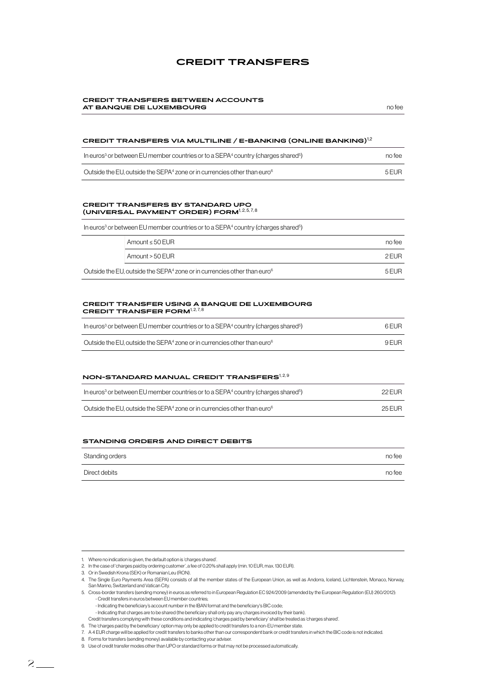## **CREDIT TRANSFERS**

#### **CREDIT TRANSFERS BETWEEN ACCOUNTS AT BANQUE DE LUXEMBOURG notative and format and fee and format and fee and fee and fee and fee and fee and fee**

## **CREDIT TRANSFERS VIA MULTILINE / E-BANKING (ONLINE BANKING)**1,2

| In euros <sup>3</sup> or between EU member countries or to a SEPA <sup>4</sup> country (charges shared <sup>5</sup> ) | no tee |
|-----------------------------------------------------------------------------------------------------------------------|--------|
| Outside the EU, outside the SEPA $4$ zone or in currencies other than euro $6$                                        | 5 FUR  |

#### **CREDIT TRANSFERS BY STANDARD UPO (UNIVERSAL PAYMENT ORDER) FORM<sup>1,2,5,7,8</sup>**

Outside

In euros<sup>3</sup> or between EU member countries or to a SEPA<sup>4</sup> country (charges shared<sup>5</sup>)

| Amount $\leq$ 50 EUR                                                                     | no tee |
|------------------------------------------------------------------------------------------|--------|
| Amount > 50 EUR                                                                          | 2 FUR  |
| the EU, outside the SEPA <sup>4</sup> zone or in currencies other than euro <sup>6</sup> | 5 FUR  |

## CREDIT TRANSFER USING A BANQUE DE LUXEMBOURG<br>CREDIT TRANSFER FORM<sup>127,8</sup>

| In euros <sup>3</sup> or between EU member countries or to a SEPA <sup>4</sup> country (charges shared <sup>5</sup> ) |       |
|-----------------------------------------------------------------------------------------------------------------------|-------|
| Outside the EU, outside the SEPA $4$ zone or in currencies other than euro $6$                                        | 9 FUR |

#### **NON-STANDARD MANUAL CREDIT TRANSFERS**<sup>1,2,9</sup>

| In euros <sup>3</sup> or between EU member countries or to a SEPA <sup>4</sup> country (charges shared <sup>5</sup> ) | 22 EUR |
|-----------------------------------------------------------------------------------------------------------------------|--------|
| Outside the EU, outside the SEPA $4$ zone or in currencies other than euro $6$                                        | 25 EUR |

#### **STANDING ORDERS AND DIRECT DEBITS**

| Standing orders | no fee |
|-----------------|--------|
| Direct debits   | no fee |

<sup>1.</sup> Where no indication is given, the default option is 'charges shared'.

<sup>2.</sup> In the case of 'charges paid by ordering customer', a fee of 0.20% shall apply (min. 10 EUR, max. 130 EUR).

<sup>3.</sup> Or in Swedish Krona (SEK) or Romanian Leu (RON).

<sup>4.</sup> The Single Euro Payments Area (SEPA) consists of all the member states of the European Union, as well as Andorra, Iceland, Lichtenstein, Monaco, Norway, San Marino, Switzerland and Vatican City.

<sup>5.</sup> Cross-border transfers (sending money) in euros as referred to in European Regulation EC 924/2009 (amended by the European Regulation (EU) 260/2012): - Credit transfers in euros between EU member countries;

<sup>-</sup> Indicating the beneficiary's account number in the IBAN format and the beneficiary's BIC code;

<sup>-</sup> Indicating that charges are to be shared (the beneficiary shall only pay any charges invoiced by their bank).

Credit transfers complying with these conditions and indicating 'charges paid by beneficiary' shall be treated as 'charges shared'.

<sup>6.</sup> The 'charges paid by the beneficiary' option may only be applied to credit transfers to a non-EU member state.

<sup>7.</sup> A 4 EUR charge will be applied for credit transfers to banks other than our correspondent bank or credit transfers in which the BIC code is not indicated.

<sup>8.</sup> Forms for transfers (sending money) available by contacting your adviser.

<sup>9.</sup> Use of credit transfer modes other than UPO or standard forms or that may not be processed automatically.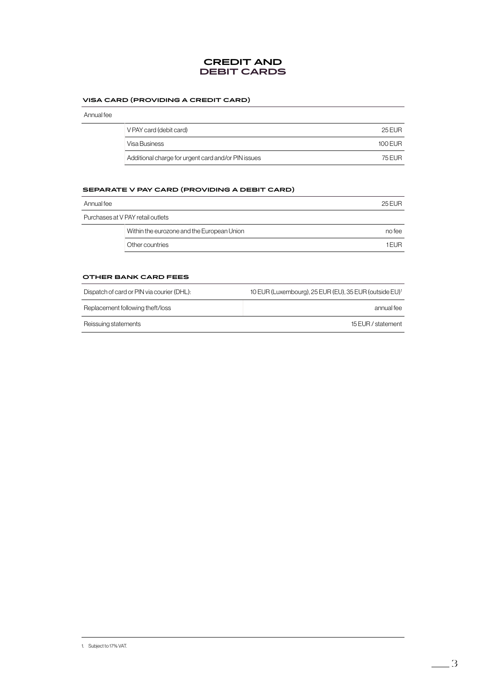## **CREDIT AND DEBIT CARDS**

#### **VISA CARD (PROVIDING A CREDIT CARD)**

| V PAY card (debit card)                             | 25 FUR    |
|-----------------------------------------------------|-----------|
| Visa Business                                       | $100$ FUR |
| Additional charge for urgent card and/or PIN issues | 75 FUR    |

#### **SEPARATE V PAY CARD (PROVIDING A DEBIT CARD)**

| Annual fee |                                            | 25 FUR |
|------------|--------------------------------------------|--------|
|            | Purchases at V PAY retail outlets          |        |
|            | Within the eurozone and the European Union | no fee |
|            | Other countries                            | 1 FUR  |
|            |                                            |        |

#### **OTHER BANK CARD FEES**

| Dispatch of card or PIN via courier (DHL): | 10 EUR (Luxembourg), 25 EUR (EU), 35 EUR (outside EU) <sup>1</sup> |
|--------------------------------------------|--------------------------------------------------------------------|
| Replacement following theft/loss           | annual fee                                                         |
| Reissuing statements                       | 15 EUR / statement                                                 |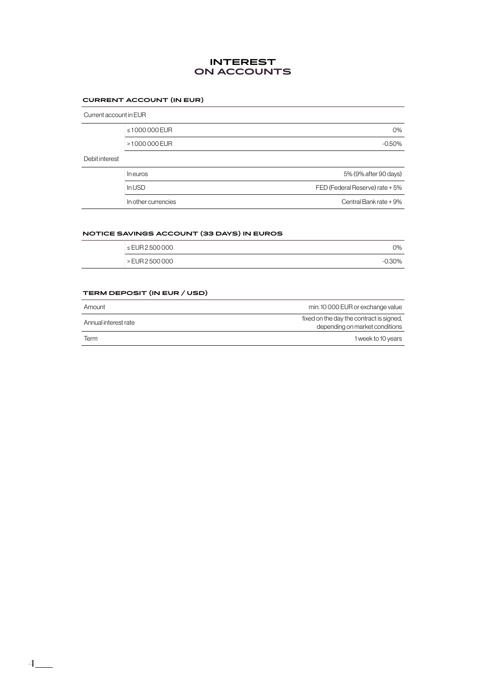## **INTEREST ON ACCOUNTS**

## **CURRENT ACCOUNT (IN EUR)**

| Current account in EUR |                     |                                 |
|------------------------|---------------------|---------------------------------|
|                        | ≤1000000 EUR        | O%                              |
|                        | >1000000 EUR        | $-0.50%$                        |
| Debit interest         |                     |                                 |
|                        | In euros            | 5% (9% after 90 days)           |
|                        | In USD              | FED (Federal Reserve) rate + 5% |
|                        | In other currencies | Central Bank rate + 9%          |

#### **NOTICE SAVINGS ACCOUNT (33 DAYS) IN EUROS**

|                    | __       |
|--------------------|----------|
| $\le$ EUR 2500 000 | $2\%$    |
| > EUR 2500000      | $-0.30%$ |

#### **TERM DEPOSIT (IN EUR / USD)**

| Amount               | min. 10 000 EUR or exchange value                                          |
|----------------------|----------------------------------------------------------------------------|
| Annual interest rate | fixed on the day the contract is signed,<br>depending on market conditions |
| <b>Term</b>          | 1 week to 10 years                                                         |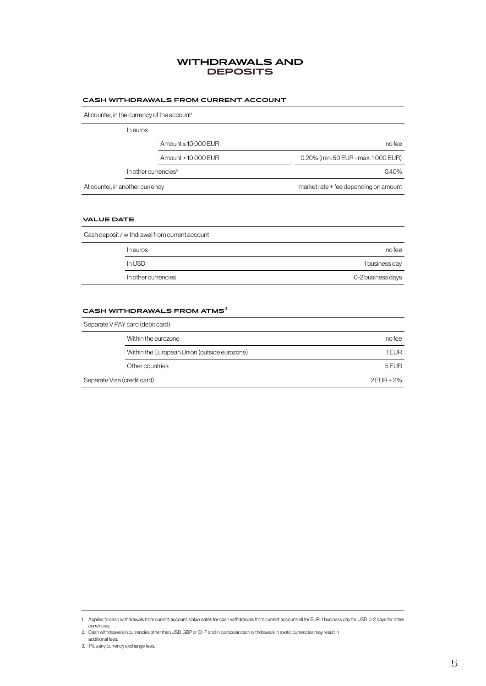## **WITHDRAWALS AND DEPOSITS**

#### **CASH WITHDRAWALS FROM CURRENT ACCOUNT**

At counter, in the currency of the account<sup>1</sup>

|                                       |                         | In euros                         |
|---------------------------------------|-------------------------|----------------------------------|
| no fee                                | Amount $\leq 10000$ EUR |                                  |
| 0.20% (min. 50 EUR - max. 1000 EUR)   | Amount > 10 000 EUR     |                                  |
| 0.40%                                 |                         | In other currencies <sup>2</sup> |
| market rate + fee depending on amount |                         | At counter, in another currency  |

#### **VALUE DATE**

| Cash deposit / withdrawal from current account |                   |
|------------------------------------------------|-------------------|
| In euros                                       | no fee            |
| In USD                                         | 1 business day    |
| In other currencies                            | 0-2 business days |

## **CASH WITHDRAWALS FROM ATMS**<sup>3</sup>

|                             | Separate V PAY card (debit card)             |            |
|-----------------------------|----------------------------------------------|------------|
|                             | Within the eurozone                          | no fee     |
|                             | Within the European Union (outside eurozone) | 1 FURI     |
|                             | Other countries                              | 5 EUR      |
| Separate Visa (credit card) |                                              | 2 EUR + 2% |

<sup>1.</sup> Applies to cash withdrawals from current account. Value dates for cash withdrawals from current account: nil for EUR, 1 business day for USD, 0-2 days for other currencies.

<sup>2.</sup> Cash withdrawals in currencies other than USD, GBP or CHF and in particular cash withdrawals in exotic currencies may result in additional fees.

<sup>3.</sup> Plus any currency exchange fees.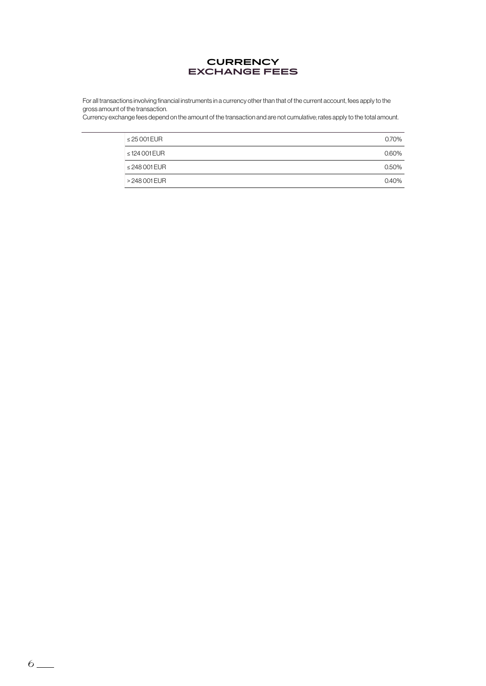

For all transactions involving financial instruments in a currency other than that of the current account, fees apply to the gross amount of the transaction.

Currency exchange fees depend on the amount of the transaction and are not cumulative; rates apply to the total amount.

| $\leq$ 25 001 EUR  | 0.70% |
|--------------------|-------|
| $\leq$ 124 001 EUR | 0.60% |
| $\leq$ 248 001 EUR | 0.50% |
| > 248 001 EUR      | 040%  |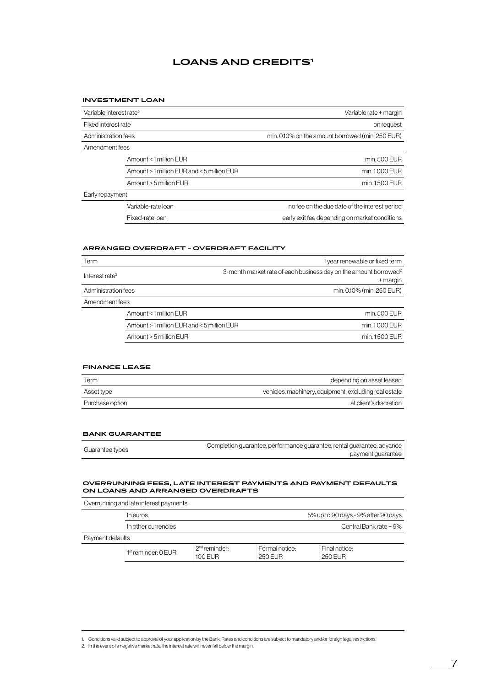## **LOANS AND CREDITS1**

#### **INVESTMENT LOAN**

| Variable interest rate <sup>2</sup> |                                            | Variable rate + margin                           |
|-------------------------------------|--------------------------------------------|--------------------------------------------------|
| Fixed interest rate                 |                                            | on request                                       |
| Administration fees                 |                                            | min. 0.10% on the amount borrowed (min. 250 EUR) |
| Amendment fees                      |                                            |                                                  |
|                                     | Amount < 1 million EUR                     | min. 500 EUR                                     |
|                                     | Amount > 1 million EUR and < 5 million EUR | min.1000 EUR                                     |
|                                     | Amount > 5 million EUR                     | min. 1500 EUR                                    |
| Early repayment                     |                                            |                                                  |
|                                     | Variable-rate loan                         | no fee on the due date of the interest period    |
|                                     | Fixed-rate loan                            | early exit fee depending on market conditions    |

#### **ARRANGED OVERDRAFT - OVERDRAFT FACILITY**

| Term                       |                                            | 1 year renewable or fixed term                                               |
|----------------------------|--------------------------------------------|------------------------------------------------------------------------------|
| Interest rate <sup>2</sup> |                                            | 3-month market rate of each business day on the amount borrowed <sup>2</sup> |
|                            |                                            | + margin                                                                     |
| Administration fees        |                                            | min. 0.10% (min. 250 EUR)                                                    |
| Amendment fees             |                                            |                                                                              |
|                            | Amount < 1 million EUR                     | min. 500 EUR                                                                 |
|                            | Amount > 1 million EUR and < 5 million EUR | min. 1000 EUR                                                                |
|                            | Amount > 5 million EUR                     | min. 1500 EUR                                                                |

#### **FINANCE LEASE**

| Term            | depending on asset leased                             |
|-----------------|-------------------------------------------------------|
| Asset type      | vehicles, machinery, equipment, excluding real estate |
| Purchase option | at client's discretion                                |

#### **BANK GUARANTEE**

| Guarantee types | Completion quarantee, performance quarantee, rental quarantee, advance |                   |
|-----------------|------------------------------------------------------------------------|-------------------|
|                 |                                                                        | payment quarantee |

#### **OVERRUNNING FEES, LATE INTEREST PAYMENTS AND PAYMENT DEFAULTS ON LOANS AND ARRANGED OVERDRAFTS**

| Overrunning and late interest payments |                         |                                     |                           |                                     |  |
|----------------------------------------|-------------------------|-------------------------------------|---------------------------|-------------------------------------|--|
|                                        | In euros                |                                     |                           | 5% up to 90 days - 9% after 90 days |  |
|                                        | In other currencies     |                                     |                           | Central Bank rate + 9%              |  |
| Payment defaults                       |                         |                                     |                           |                                     |  |
|                                        | $1st$ reminder: $0$ EUR | 2 <sup>nd</sup> reminder<br>100 EUR | Formal notice:<br>250 FUR | Final notice:<br>250 FUR            |  |

<sup>1.</sup> Conditions valid subject to approval of your application by the Bank. Rates and conditions are subject to mandatory and/or foreign legal restrictions.

<sup>2.</sup> In the event of a negative market rate, the interest rate will never fall below the margin.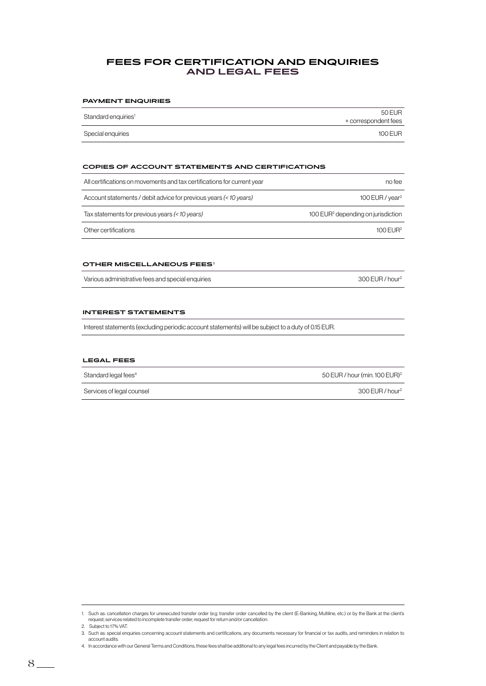## **FEES FOR CERTIFICATION AND ENQUIRIES AND LEGAL FEES**

#### **PAYMENT ENQUIRIES**

| Standard enquiries <sup>1</sup> | 50 EUR               |
|---------------------------------|----------------------|
|                                 | + correspondent fees |
| Special enquiries               | $100$ EUR            |

#### **COPIES OF ACCOUNT STATEMENTS AND CERTIFICATIONS**

| All certifications on movements and tax certifications for current year | no fee                                         |
|-------------------------------------------------------------------------|------------------------------------------------|
| Account statements / debit advice for previous years (< 10 years)       | 100 EUR / $year2$                              |
| Tax statements for previous years (< 10 years)                          | 100 EUR <sup>2</sup> depending on jurisdiction |
| Other certifications                                                    | $100$ EUR <sup>2</sup>                         |

#### **OTHER MISCELLANEOUS FEES**<sup>3</sup>

Various administrative fees and special enquiries 300 EUR / hour<sup>2</sup>

#### **INTEREST STATEMENTS**

Interest statements (excluding periodic account statements) will be subject to a duty of 0.15 EUR.

#### **LEGAL FEES**

| Standard legal fees <sup>4</sup> | 50 EUR / hour (min. 100 EUR) <sup>2</sup> |
|----------------------------------|-------------------------------------------|
| Services of legal counsel        | 300 EUR / hour <sup>2</sup>               |

<sup>1.</sup> Such as: cancellation charges for unexecuted transfer order (e.g. transfer order cancelled by the client (E-Banking, Multiline, etc.) or by the Bank at the client's request; services related to incomplete transfer order; request for return and/or cancellation.

<sup>2.</sup> Subject to 17% VAT. 3. Such as: special enquiries concerning account statements and certifications, any documents necessary for financial or tax audits, and reminders in relation to account audits.

<sup>4.</sup> In accordance with our General Terms and Conditions, these fees shall be additional to any legal fees incurred by the Client and payable by the Bank.